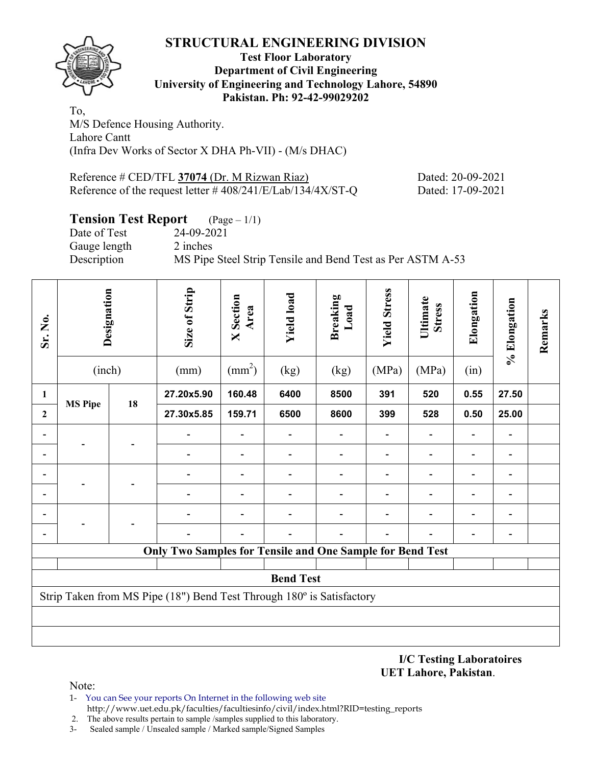

## **Test Floor Laboratory Department of Civil Engineering University of Engineering and Technology Lahore, 54890 Pakistan. Ph: 92-42-99029202**

To, M/S Defence Housing Authority. Lahore Cantt (Infra Dev Works of Sector X DHA Ph-VII) - (M/s DHAC)

| Reference # CED/TFL 37074 (Dr. M Rizwan Riaz)                  | Dated: 20-09-2021 |
|----------------------------------------------------------------|-------------------|
| Reference of the request letter $\# 408/241/E/Lab/134/4X/ST-Q$ | Dated: 17-09-2021 |

# **Tension Test Report** (Page – 1/1)

Date of Test 24-09-2021 Gauge length 2 inches Description MS Pipe Steel Strip Tensile and Bend Test as Per ASTM A-53

| Sr. No.        | Designation                                                           |    |                                                                  |                 | Size of Strip    | <b>X</b> Section<br>Area | <b>Yield load</b> | <b>Breaking</b><br>Load | <b>Yield Stress</b> | Ultimate<br><b>Stress</b>    | Elongation | % Elongation | Remarks |
|----------------|-----------------------------------------------------------------------|----|------------------------------------------------------------------|-----------------|------------------|--------------------------|-------------------|-------------------------|---------------------|------------------------------|------------|--------------|---------|
|                | (inch)                                                                |    | (mm)                                                             | $\text{(mm}^2)$ | (kg)             | (kg)                     | (MPa)             | (MPa)                   | (in)                |                              |            |              |         |
| 1              | <b>MS Pipe</b>                                                        | 18 | 27.20x5.90                                                       | 160.48          | 6400             | 8500                     | 391               | 520                     | 0.55                | 27.50                        |            |              |         |
| $\overline{2}$ |                                                                       |    | 27.30x5.85                                                       | 159.71          | 6500             | 8600                     | 399               | 528                     | 0.50                | 25.00                        |            |              |         |
|                |                                                                       |    |                                                                  |                 |                  |                          |                   |                         |                     |                              |            |              |         |
|                |                                                                       |    |                                                                  |                 |                  |                          |                   |                         |                     | $\qquad \qquad \blacksquare$ |            |              |         |
|                |                                                                       |    |                                                                  |                 |                  |                          |                   |                         |                     | $\qquad \qquad \blacksquare$ |            |              |         |
|                |                                                                       |    |                                                                  |                 |                  |                          |                   |                         |                     | $\overline{\phantom{0}}$     |            |              |         |
|                |                                                                       |    |                                                                  |                 |                  |                          |                   |                         |                     |                              |            |              |         |
|                |                                                                       |    |                                                                  |                 |                  |                          |                   |                         |                     |                              |            |              |         |
|                |                                                                       |    | <b>Only Two Samples for Tensile and One Sample for Bend Test</b> |                 |                  |                          |                   |                         |                     |                              |            |              |         |
|                |                                                                       |    |                                                                  |                 | <b>Bend Test</b> |                          |                   |                         |                     |                              |            |              |         |
|                | Strip Taken from MS Pipe (18") Bend Test Through 180° is Satisfactory |    |                                                                  |                 |                  |                          |                   |                         |                     |                              |            |              |         |
|                |                                                                       |    |                                                                  |                 |                  |                          |                   |                         |                     |                              |            |              |         |
|                |                                                                       |    |                                                                  |                 |                  |                          |                   |                         |                     |                              |            |              |         |

**I/C Testing Laboratoires UET Lahore, Pakistan**.

Note:

1- You can See your reports On Internet in the following web site http://www.uet.edu.pk/faculties/facultiesinfo/civil/index.html?RID=testing\_reports

2. The above results pertain to sample /samples supplied to this laboratory.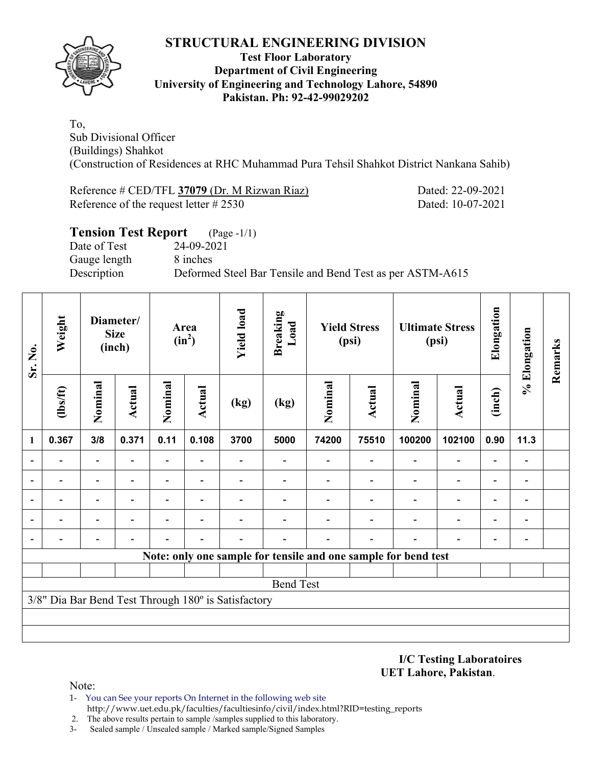

## **Test Floor Laboratory Department of Civil Engineering University of Engineering and Technology Lahore, 54890 Pakistan. Ph: 92-42-99029202**

To, Sub Divisional Officer (Buildings) Shahkot (Construction of Residences at RHC Muhammad Pura Tehsil Shahkot District Nankana Sahib)

Reference # CED/TFL **37079** (Dr. M Rizwan Riaz) Dated: 22-09-2021 Reference of the request letter # 2530 Dated: 10-07-2021

## **Tension Test Report** (Page -1/1) Date of Test 24-09-2021 Gauge length 8 inches Description Deformed Steel Bar Tensile and Bend Test as per ASTM-A615

| Sr. No.                  | Weight         |                          | Diameter/<br><b>Size</b><br>(inch) |                          | Area<br>$(in^2)$ | <b>Yield load</b>                                   | <b>Breaking</b><br>Load                                        |         | <b>Yield Stress</b><br>(psi) |                          | <b>Ultimate Stress</b><br>(psi) | Elongation                   | % Elongation   | Remarks |
|--------------------------|----------------|--------------------------|------------------------------------|--------------------------|------------------|-----------------------------------------------------|----------------------------------------------------------------|---------|------------------------------|--------------------------|---------------------------------|------------------------------|----------------|---------|
|                          | $\frac{2}{10}$ | Nominal                  | Actual                             | Nominal                  | <b>Actual</b>    | (kg)                                                | (kg)                                                           | Nominal | Actual                       | Nominal<br><b>Actual</b> |                                 | (inch)                       |                |         |
| $\mathbf{1}$             | 0.367          | 3/8                      | 0.371                              | 0.11                     | 0.108            | 3700                                                | 5000                                                           | 74200   | 75510                        | 100200                   | 102100                          | 0.90                         | 11.3           |         |
|                          |                |                          |                                    |                          |                  |                                                     |                                                                |         |                              |                          | $\overline{\phantom{0}}$        | $\overline{\phantom{0}}$     |                |         |
| $\overline{\phantom{0}}$ |                | $\overline{\phantom{0}}$ |                                    | $\overline{\phantom{0}}$ |                  |                                                     |                                                                |         |                              |                          | $\qquad \qquad -$               | $\qquad \qquad \blacksquare$ |                |         |
| $\overline{\phantom{a}}$ |                | $\overline{\phantom{0}}$ | $\overline{\phantom{0}}$           | $\overline{\phantom{0}}$ | $\overline{a}$   |                                                     |                                                                |         |                              |                          | $\overline{\phantom{a}}$        | $\overline{\phantom{a}}$     | $\blacksquare$ |         |
| $\overline{\phantom{a}}$ |                |                          |                                    |                          |                  |                                                     |                                                                |         |                              |                          | $\overline{\phantom{0}}$        | $\overline{\phantom{0}}$     |                |         |
| $\overline{\phantom{a}}$ |                |                          |                                    |                          |                  |                                                     |                                                                |         |                              |                          |                                 | $\blacksquare$               |                |         |
|                          |                |                          |                                    |                          |                  |                                                     | Note: only one sample for tensile and one sample for bend test |         |                              |                          |                                 |                              |                |         |
|                          |                |                          |                                    |                          |                  |                                                     |                                                                |         |                              |                          |                                 |                              |                |         |
|                          |                |                          |                                    |                          |                  |                                                     | <b>Bend Test</b>                                               |         |                              |                          |                                 |                              |                |         |
|                          |                |                          |                                    |                          |                  | 3/8" Dia Bar Bend Test Through 180° is Satisfactory |                                                                |         |                              |                          |                                 |                              |                |         |
|                          |                |                          |                                    |                          |                  |                                                     |                                                                |         |                              |                          |                                 |                              |                |         |
|                          |                |                          |                                    |                          |                  |                                                     |                                                                |         |                              |                          |                                 |                              |                |         |

#### **I/C Testing Laboratoires UET Lahore, Pakistan**.

Note:

- 1- You can See your reports On Internet in the following web site http://www.uet.edu.pk/faculties/facultiesinfo/civil/index.html?RID=testing\_reports
- 2. The above results pertain to sample /samples supplied to this laboratory.
- 3- Sealed sample / Unsealed sample / Marked sample/Signed Samples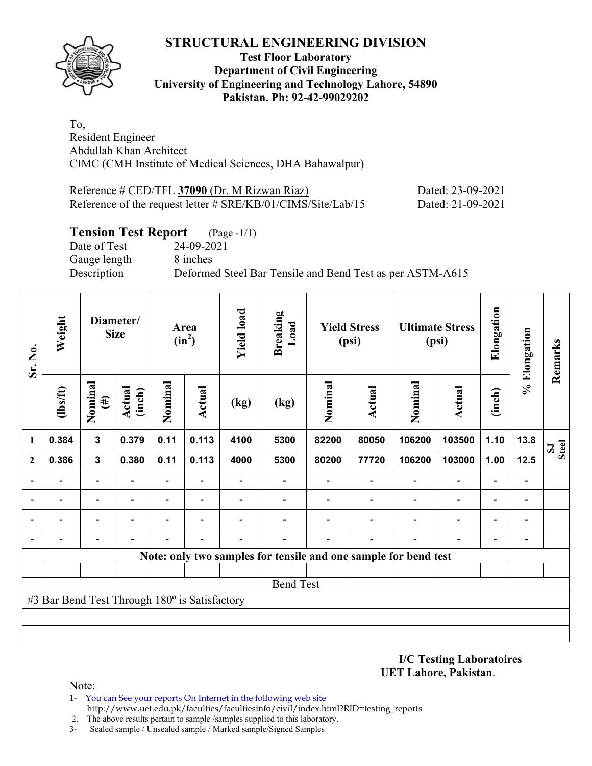

## **Test Floor Laboratory Department of Civil Engineering University of Engineering and Technology Lahore, 54890 Pakistan. Ph: 92-42-99029202**

To, Resident Engineer Abdullah Khan Architect CIMC (CMH Institute of Medical Sciences, DHA Bahawalpur)

| Reference # CED/TFL 37090 (Dr. M Rizwan Riaz)                | Dated: 23-09-2021 |
|--------------------------------------------------------------|-------------------|
| Reference of the request letter # SRE/KB/01/CIMS/Site/Lab/15 | Dated: 21-09-2021 |

## **Tension Test Report** (Page -1/1)

Date of Test 24-09-2021 Gauge length 8 inches

Description Deformed Steel Bar Tensile and Bend Test as per ASTM-A615

| Sr. No.      | Weight                                        | Diameter/<br><b>Size</b> |                  |                          |                          |      |                          |                                                                 |                          |                          | Area<br>$(in^2)$         | <b>Yield load</b>        | <b>Breaking</b><br>Load      |                              | <b>Yield Stress</b><br>(psi) |  | <b>Ultimate Stress</b><br>(psi) | Elongation | % Elongation | Remarks |
|--------------|-----------------------------------------------|--------------------------|------------------|--------------------------|--------------------------|------|--------------------------|-----------------------------------------------------------------|--------------------------|--------------------------|--------------------------|--------------------------|------------------------------|------------------------------|------------------------------|--|---------------------------------|------------|--------------|---------|
|              | $\frac{2}{10}$                                | Nominal<br>$(\#)$        | Actual<br>(inch) | Nominal                  | Actual                   | (kg) | (kg)                     | Nominal                                                         | <b>Actual</b>            | Nominal                  | <b>Actual</b>            | (inch)                   |                              |                              |                              |  |                                 |            |              |         |
| 1            | 0.384                                         | $\mathbf 3$              | 0.379            | 0.11                     | 0.113                    | 4100 | 5300                     | 82200                                                           | 80050                    | 106200                   | 103500                   | 1.10                     | 13.8                         | <b>Steel</b><br>$\mathbf{S}$ |                              |  |                                 |            |              |         |
| $\mathbf{2}$ | 0.386                                         | $\mathbf{3}$             | 0.380            | 0.11                     | 0.113                    | 4000 | 5300                     | 80200                                                           | 77720                    | 106200                   | 103000                   | 1.00                     | 12.5                         |                              |                              |  |                                 |            |              |         |
|              |                                               | $\overline{\phantom{0}}$ |                  | $\overline{\phantom{a}}$ | Ξ.                       |      | $\overline{\phantom{0}}$ |                                                                 | $\overline{\phantom{0}}$ | $\overline{\phantom{a}}$ | $\overline{\phantom{a}}$ |                          | $\overline{\phantom{a}}$     |                              |                              |  |                                 |            |              |         |
|              |                                               | -                        |                  | -                        | $\overline{\phantom{0}}$ |      |                          |                                                                 |                          |                          | $\overline{\phantom{a}}$ | $\overline{\phantom{0}}$ | $\blacksquare$               |                              |                              |  |                                 |            |              |         |
|              |                                               | $\overline{\phantom{0}}$ |                  | -                        |                          |      |                          |                                                                 |                          |                          |                          |                          | $\blacksquare$               |                              |                              |  |                                 |            |              |         |
|              |                                               |                          |                  |                          |                          |      |                          |                                                                 |                          |                          |                          |                          | $\qquad \qquad \blacksquare$ |                              |                              |  |                                 |            |              |         |
|              |                                               |                          |                  |                          |                          |      |                          | Note: only two samples for tensile and one sample for bend test |                          |                          |                          |                          |                              |                              |                              |  |                                 |            |              |         |
|              |                                               |                          |                  |                          |                          |      |                          |                                                                 |                          |                          |                          |                          |                              |                              |                              |  |                                 |            |              |         |
|              |                                               |                          |                  |                          |                          |      | <b>Bend Test</b>         |                                                                 |                          |                          |                          |                          |                              |                              |                              |  |                                 |            |              |         |
|              | #3 Bar Bend Test Through 180° is Satisfactory |                          |                  |                          |                          |      |                          |                                                                 |                          |                          |                          |                          |                              |                              |                              |  |                                 |            |              |         |
|              |                                               |                          |                  |                          |                          |      |                          |                                                                 |                          |                          |                          |                          |                              |                              |                              |  |                                 |            |              |         |
|              |                                               |                          |                  |                          |                          |      |                          |                                                                 |                          |                          |                          |                          |                              |                              |                              |  |                                 |            |              |         |

**I/C Testing Laboratoires UET Lahore, Pakistan**.

Note:

- 1- You can See your reports On Internet in the following web site http://www.uet.edu.pk/faculties/facultiesinfo/civil/index.html?RID=testing\_reports
- 2. The above results pertain to sample /samples supplied to this laboratory.
- 3- Sealed sample / Unsealed sample / Marked sample/Signed Samples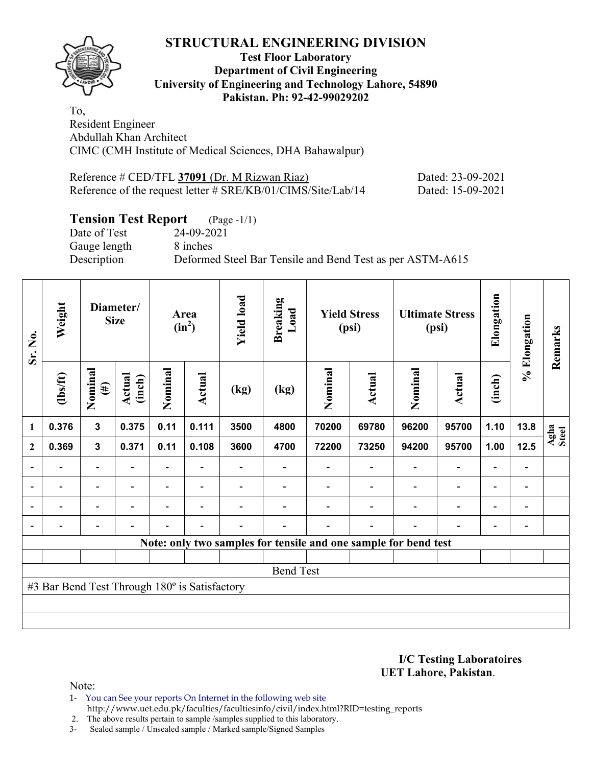## **Test Floor Laboratory Department of Civil Engineering University of Engineering and Technology Lahore, 54890 Pakistan. Ph: 92-42-99029202**

To, Resident Engineer Abdullah Khan Architect CIMC (CMH Institute of Medical Sciences, DHA Bahawalpur)

| Reference # CED/TFL 37091 (Dr. M Rizwan Riaz)                | Dated: 23-09-2021 |
|--------------------------------------------------------------|-------------------|
| Reference of the request letter # SRE/KB/01/CIMS/Site/Lab/14 | Dated: 15-09-2021 |

# **Tension Test Report** (Page -1/1)

Date of Test 24-09-2021 Gauge length 8 inches

Description Deformed Steel Bar Tensile and Bend Test as per ASTM-A615

| Sr. No.                  | Weight                                        |                          | Diameter/<br><b>Size</b> |                          | Area<br>$(in^2)$         | <b>Yield load</b> | <b>Breaking</b><br>Load |         | <b>Yield Stress</b><br>(psi)                                    | <b>Ultimate Stress</b><br>(psi) |                          | Elongation               | % Elongation                 | Remarks       |
|--------------------------|-----------------------------------------------|--------------------------|--------------------------|--------------------------|--------------------------|-------------------|-------------------------|---------|-----------------------------------------------------------------|---------------------------------|--------------------------|--------------------------|------------------------------|---------------|
|                          | $\frac{2}{10}$                                | Nominal<br>$(\#)$        | Actual<br>(inch)         | Nominal                  | <b>Actual</b>            | (kg)              | (kg)                    | Nominal | Actual                                                          | Nominal                         | <b>Actual</b>            | (inch)                   |                              |               |
| $\mathbf{1}$             | 0.376                                         | 3                        | 0.375                    | 0.11                     | 0.111                    | 3500              | 4800                    | 70200   | 69780                                                           | 96200                           | 95700                    | 1.10                     | 13.8                         | Agha<br>Steel |
| $\mathbf{2}$             | 0.369                                         | $\mathbf{3}$             | 0.371                    | 0.11                     | 0.108                    | 3600              | 4700                    | 72200   | 73250                                                           | 94200                           | 95700                    | 1.00                     | 12.5                         |               |
|                          |                                               | $\overline{\phantom{0}}$ |                          |                          |                          |                   |                         |         |                                                                 |                                 |                          |                          |                              |               |
| $\overline{\phantom{a}}$ | $\overline{\phantom{a}}$                      | $\overline{\phantom{0}}$ | $\blacksquare$           |                          | $\overline{\phantom{a}}$ |                   |                         |         |                                                                 |                                 | $\overline{\phantom{0}}$ | $\blacksquare$           | $\qquad \qquad \blacksquare$ |               |
|                          | $\overline{\phantom{0}}$                      | $\overline{\phantom{0}}$ |                          | $\overline{\phantom{0}}$ | $\overline{\phantom{0}}$ |                   |                         |         |                                                                 |                                 | $\overline{\phantom{0}}$ | $\overline{\phantom{0}}$ | $\qquad \qquad \blacksquare$ |               |
| $\blacksquare$           |                                               | -                        | $\overline{\phantom{0}}$ | $\overline{\phantom{0}}$ | $\blacksquare$           |                   |                         |         |                                                                 |                                 | $\overline{\phantom{0}}$ | $\overline{\phantom{0}}$ | $\overline{a}$               |               |
|                          |                                               |                          |                          |                          |                          |                   |                         |         | Note: only two samples for tensile and one sample for bend test |                                 |                          |                          |                              |               |
|                          |                                               |                          |                          |                          |                          |                   |                         |         |                                                                 |                                 |                          |                          |                              |               |
|                          |                                               |                          |                          |                          |                          |                   | <b>Bend Test</b>        |         |                                                                 |                                 |                          |                          |                              |               |
|                          | #3 Bar Bend Test Through 180° is Satisfactory |                          |                          |                          |                          |                   |                         |         |                                                                 |                                 |                          |                          |                              |               |
|                          |                                               |                          |                          |                          |                          |                   |                         |         |                                                                 |                                 |                          |                          |                              |               |
|                          |                                               |                          |                          |                          |                          |                   |                         |         |                                                                 |                                 |                          |                          |                              |               |

**I/C Testing Laboratoires UET Lahore, Pakistan**.

Note:

1- You can See your reports On Internet in the following web site http://www.uet.edu.pk/faculties/facultiesinfo/civil/index.html?RID=testing\_reports

2. The above results pertain to sample /samples supplied to this laboratory.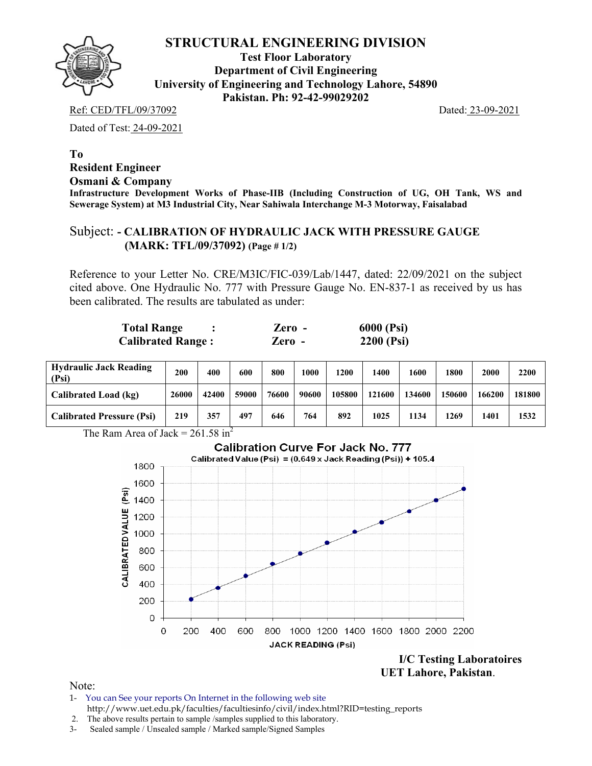

**Test Floor Laboratory Department of Civil Engineering University of Engineering and Technology Lahore, 54890 Pakistan. Ph: 92-42-99029202** 

Ref: CED/TFL/09/37092 Dated: 23-09-2021

Dated of Test: 24-09-2021

**To Resident Engineer Osmani & Company Infrastructure Development Works of Phase-IIB (Including Construction of UG, OH Tank, WS and Sewerage System) at M3 Industrial City, Near Sahiwala Interchange M-3 Motorway, Faisalabad** 

### Subject: **- CALIBRATION OF HYDRAULIC JACK WITH PRESSURE GAUGE (MARK: TFL/09/37092) (Page # 1/2)**

Reference to your Letter No. CRE/M3IC/FIC-039/Lab/1447, dated: 22/09/2021 on the subject cited above. One Hydraulic No. 777 with Pressure Gauge No. EN-837-1 as received by us has been calibrated. The results are tabulated as under:

| <b>Total Range</b>       | Zero -       | 6000 (Psi) |
|--------------------------|--------------|------------|
| <b>Calibrated Range:</b> | $\chi$ ero - | 2200 (Psi) |

| <b>Hydraulic Jack Reading</b><br>(Psi) | 200   | 400   | 600   | 800   | 1000  | 1200   | 1400   | 1600   | 1800   | 2000   | 2200   |
|----------------------------------------|-------|-------|-------|-------|-------|--------|--------|--------|--------|--------|--------|
| Calibrated Load (kg)                   | 26000 | 42400 | 59000 | 76600 | 90600 | 105800 | 121600 | 134600 | 150600 | 166200 | 181800 |
| <b>Calibrated Pressure (Psi)</b>       | 219   | 357   | 497   | 646   | 764   | 892    | 1025   | 1134   | 1269   | 1401   | 1532   |

The Ram Area of Jack =  $261.58 \text{ in}^2$ 



 **UET Lahore, Pakistan**.

Note:

- 1- You can See your reports On Internet in the following web site http://www.uet.edu.pk/faculties/facultiesinfo/civil/index.html?RID=testing\_reports
- 2. The above results pertain to sample /samples supplied to this laboratory.
- 3- Sealed sample / Unsealed sample / Marked sample/Signed Samples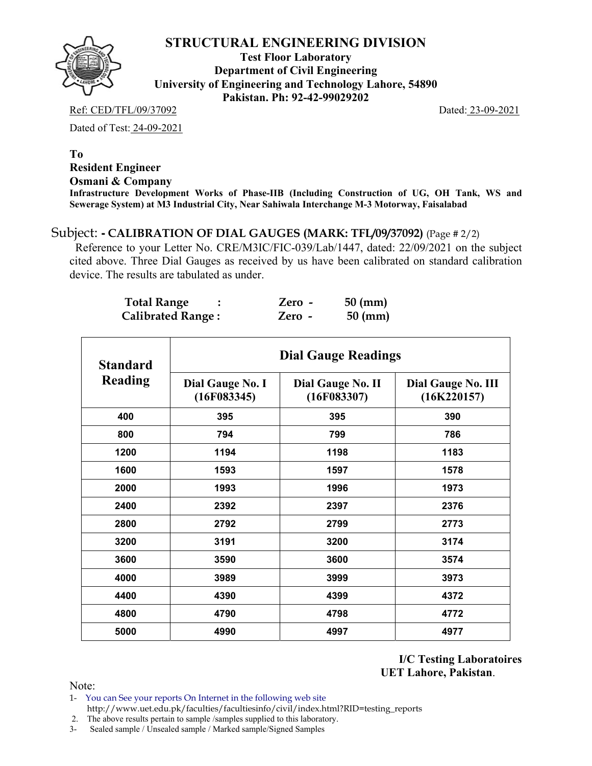**Test Floor Laboratory Department of Civil Engineering University of Engineering and Technology Lahore, 54890 Pakistan. Ph: 92-42-99029202** 

Ref: CED/TFL/09/37092 Dated: 23-09-2021

Dated of Test: 24-09-2021

#### **To Resident Engineer Osmani & Company Infrastructure Development Works of Phase-IIB (Including Construction of UG, OH Tank, WS and Sewerage System) at M3 Industrial City, Near Sahiwala Interchange M-3 Motorway, Faisalabad**

# Subject: **- CALIBRATION OF DIAL GAUGES (MARK: TFL/09/37092)** (Page # 2/2)

 Reference to your Letter No. CRE/M3IC/FIC-039/Lab/1447, dated: 22/09/2021 on the subject cited above. Three Dial Gauges as received by us have been calibrated on standard calibration device. The results are tabulated as under.

| <b>Total Range</b>       | Zero -   | $50 \text{ (mm)}$ |
|--------------------------|----------|-------------------|
| <b>Calibrated Range:</b> | $Zero -$ | $50 \text{ (mm)}$ |

| <b>Standard</b> |                                 | <b>Dial Gauge Readings</b>       |                                          |
|-----------------|---------------------------------|----------------------------------|------------------------------------------|
| Reading         | Dial Gauge No. I<br>(16F083345) | Dial Gauge No. II<br>(16F083307) | <b>Dial Gauge No. III</b><br>(16K220157) |
| 400             | 395                             | 395                              | 390                                      |
| 800             | 794                             | 799                              | 786                                      |
| 1200            | 1194                            | 1198                             | 1183                                     |
| 1600            | 1593                            | 1597                             | 1578                                     |
| 2000            | 1993                            | 1996                             | 1973                                     |
| 2400            | 2392                            | 2397                             | 2376                                     |
| 2800            | 2792                            | 2799                             | 2773                                     |
| 3200            | 3191                            | 3200                             | 3174                                     |
| 3600            | 3590                            | 3600                             | 3574                                     |
| 4000            | 3989                            | 3999                             | 3973                                     |
| 4400            | 4390                            | 4399                             | 4372                                     |
| 4800            | 4790                            | 4798                             | 4772                                     |
| 5000            | 4990                            | 4997                             | 4977                                     |

**I/C Testing Laboratoires UET Lahore, Pakistan**.

Note:

1- You can See your reports On Internet in the following web site http://www.uet.edu.pk/faculties/facultiesinfo/civil/index.html?RID=testing\_reports

2. The above results pertain to sample /samples supplied to this laboratory.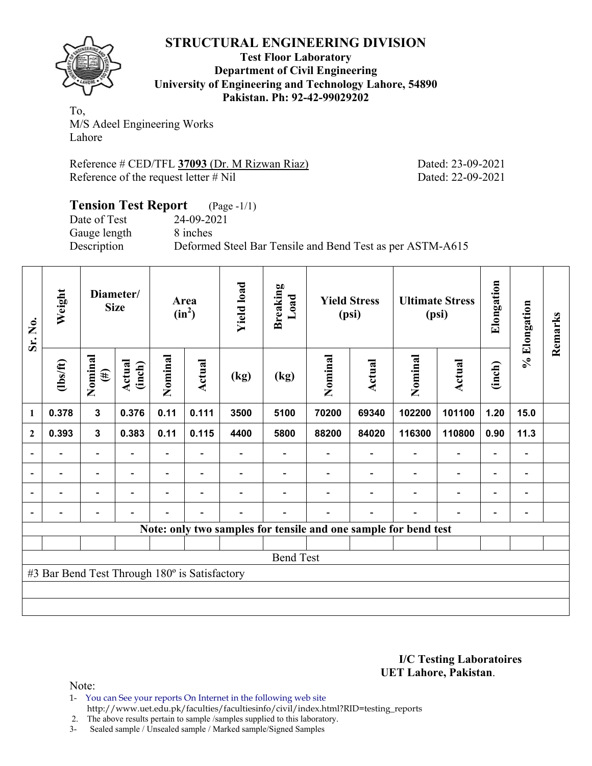

**Test Floor Laboratory Department of Civil Engineering University of Engineering and Technology Lahore, 54890 Pakistan. Ph: 92-42-99029202** 

To, M/S Adeel Engineering Works Lahore

Reference # CED/TFL **37093** (Dr. M Rizwan Riaz) Dated: 23-09-2021 Reference of the request letter # Nil Dated: 22-09-2021

## **Tension Test Report** (Page -1/1) Date of Test 24-09-2021 Gauge length 8 inches Description Deformed Steel Bar Tensile and Bend Test as per ASTM-A615

| Sr. No.                  | Weight                                        |                          | Diameter/<br><b>Size</b> |                          | Area<br>$(in^2)$         | <b>Yield load</b> | <b>Breaking</b><br>Load |         | <b>Yield Stress</b><br>(psi) |                                                                 | <b>Ultimate Stress</b><br>(psi) | Elongation               | % Elongation                 | Remarks |
|--------------------------|-----------------------------------------------|--------------------------|--------------------------|--------------------------|--------------------------|-------------------|-------------------------|---------|------------------------------|-----------------------------------------------------------------|---------------------------------|--------------------------|------------------------------|---------|
|                          | $\frac{2}{10}$                                | Nominal<br>$(\#)$        | Actual<br>(inch)         | Nominal                  | Actual                   | (kg)              | (kg)                    | Nominal | <b>Actual</b>                | Nominal                                                         | <b>Actual</b>                   | (inch)                   |                              |         |
| 1                        | 0.378                                         | $\mathbf{3}$             | 0.376                    | 0.11                     | 0.111                    | 3500              | 5100                    | 70200   | 69340                        | 102200                                                          | 101100                          | 1.20                     | 15.0                         |         |
| $\mathbf{2}$             | 0.393                                         | $\mathbf{3}$             | 0.383                    | 0.11                     | 0.115                    | 4400              | 5800                    | 88200   | 84020                        | 116300                                                          | 110800                          | 0.90                     | 11.3                         |         |
| $\blacksquare$           |                                               | $\overline{\phantom{0}}$ |                          | $\overline{\phantom{0}}$ |                          |                   |                         |         |                              |                                                                 |                                 |                          | -                            |         |
| $\overline{a}$           |                                               | $\overline{\phantom{0}}$ |                          |                          | $\overline{\phantom{0}}$ |                   |                         |         |                              |                                                                 |                                 | $\overline{\phantom{0}}$ | -                            |         |
| $\overline{\phantom{a}}$ | $\overline{\phantom{a}}$                      | -                        | $\blacksquare$           | $\overline{\phantom{0}}$ | $\blacksquare$           |                   |                         |         |                              | $\blacksquare$                                                  | $\overline{\phantom{0}}$        | $\overline{\phantom{a}}$ | $\blacksquare$               |         |
| $\blacksquare$           | $\overline{a}$                                | $\overline{\phantom{0}}$ |                          |                          | $\overline{\phantom{0}}$ |                   |                         |         |                              |                                                                 | $\overline{\phantom{0}}$        | $\overline{\phantom{0}}$ | $\qquad \qquad \blacksquare$ |         |
|                          |                                               |                          |                          |                          |                          |                   |                         |         |                              | Note: only two samples for tensile and one sample for bend test |                                 |                          |                              |         |
|                          |                                               |                          |                          |                          |                          |                   |                         |         |                              |                                                                 |                                 |                          |                              |         |
|                          |                                               |                          |                          |                          |                          |                   | <b>Bend Test</b>        |         |                              |                                                                 |                                 |                          |                              |         |
|                          | #3 Bar Bend Test Through 180° is Satisfactory |                          |                          |                          |                          |                   |                         |         |                              |                                                                 |                                 |                          |                              |         |
|                          |                                               |                          |                          |                          |                          |                   |                         |         |                              |                                                                 |                                 |                          |                              |         |
|                          |                                               |                          |                          |                          |                          |                   |                         |         |                              |                                                                 |                                 |                          |                              |         |

#### **I/C Testing Laboratoires UET Lahore, Pakistan**.

Note:

1- You can See your reports On Internet in the following web site http://www.uet.edu.pk/faculties/facultiesinfo/civil/index.html?RID=testing\_reports

2. The above results pertain to sample /samples supplied to this laboratory.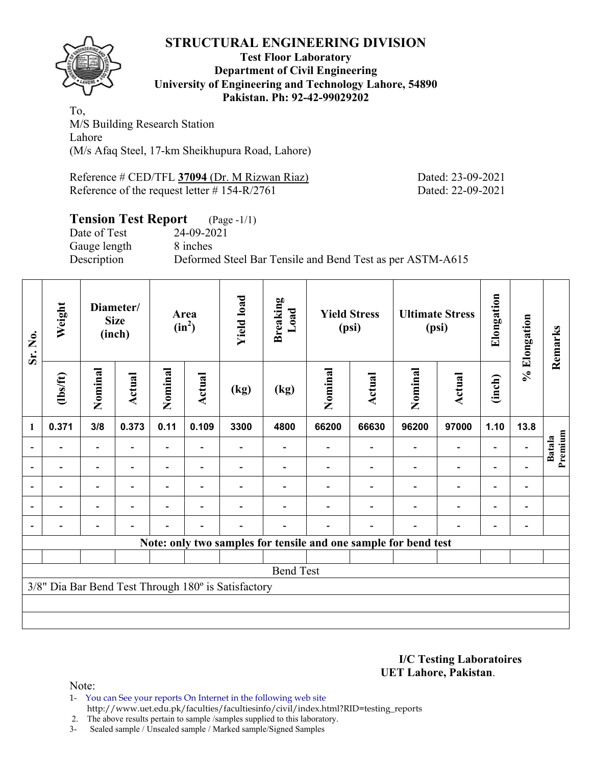

#### **Test Floor Laboratory Department of Civil Engineering University of Engineering and Technology Lahore, 54890 Pakistan. Ph: 92-42-99029202**

To, M/S Building Research Station Lahore (M/s Afaq Steel, 17-km Sheikhupura Road, Lahore)

Reference # CED/TFL 37094 (Dr. M Rizwan Riaz) Dated: 23-09-2021 Reference of the request letter # 154-R/2761 Dated: 22-09-2021

#### **Tension Test Report** (Page -1/1) Date of Test 24-09-2021 Gauge length 8 inches Description Deformed Steel Bar Tensile and Bend Test as per ASTM-A615

| Sr. No.                  | Weight<br>Diameter/<br><b>Size</b><br>(inch)        |                | Area<br>$(in^2)$ |         | <b>Yield load</b><br><b>Breaking</b><br>Load |      | <b>Yield Stress</b><br>(psi)                                    |         | <b>Ultimate Stress</b><br>(psi) |         | Elongation               | % Elongation             | Remarks        |                          |
|--------------------------|-----------------------------------------------------|----------------|------------------|---------|----------------------------------------------|------|-----------------------------------------------------------------|---------|---------------------------------|---------|--------------------------|--------------------------|----------------|--------------------------|
|                          | (1bs/ft)                                            | Nominal        | Actual           | Nominal | <b>Actual</b>                                | (kg) | (kg)                                                            | Nominal | <b>Actual</b>                   | Nominal | <b>Actual</b>            | (inch)                   |                |                          |
| $\mathbf{1}$             | 0.371                                               | 3/8            | 0.373            | 0.11    | 0.109                                        | 3300 | 4800                                                            | 66200   | 66630                           | 96200   | 97000                    | 1.10                     | 13.8           |                          |
|                          |                                                     |                |                  |         |                                              |      |                                                                 |         |                                 |         | $\overline{\phantom{0}}$ | $\blacksquare$           |                | Premium<br><b>Batala</b> |
| $\overline{\phantom{a}}$ |                                                     |                |                  |         | $\blacksquare$                               |      |                                                                 |         |                                 |         | $\overline{\phantom{0}}$ | $\overline{\phantom{a}}$ |                |                          |
| $\blacksquare$           |                                                     | $\blacksquare$ |                  |         | $\blacksquare$                               |      |                                                                 |         |                                 |         | $\overline{\phantom{0}}$ | $\overline{\phantom{a}}$ | $\blacksquare$ |                          |
|                          |                                                     | -              | ۰                |         | $\overline{\phantom{0}}$                     |      |                                                                 |         |                                 |         | $\overline{\phantom{0}}$ | $\overline{\phantom{a}}$ |                |                          |
|                          |                                                     | $\blacksquare$ |                  |         | $\blacksquare$                               |      |                                                                 |         | $\overline{\phantom{0}}$        |         | $\blacksquare$           | $\blacksquare$           |                |                          |
|                          |                                                     |                |                  |         |                                              |      | Note: only two samples for tensile and one sample for bend test |         |                                 |         |                          |                          |                |                          |
|                          |                                                     |                |                  |         |                                              |      |                                                                 |         |                                 |         |                          |                          |                |                          |
|                          |                                                     |                |                  |         |                                              |      | <b>Bend Test</b>                                                |         |                                 |         |                          |                          |                |                          |
|                          | 3/8" Dia Bar Bend Test Through 180° is Satisfactory |                |                  |         |                                              |      |                                                                 |         |                                 |         |                          |                          |                |                          |
|                          |                                                     |                |                  |         |                                              |      |                                                                 |         |                                 |         |                          |                          |                |                          |
|                          |                                                     |                |                  |         |                                              |      |                                                                 |         |                                 |         |                          |                          |                |                          |

**I/C Testing Laboratoires UET Lahore, Pakistan**.

Note:

1- You can See your reports On Internet in the following web site http://www.uet.edu.pk/faculties/facultiesinfo/civil/index.html?RID=testing\_reports

2. The above results pertain to sample /samples supplied to this laboratory.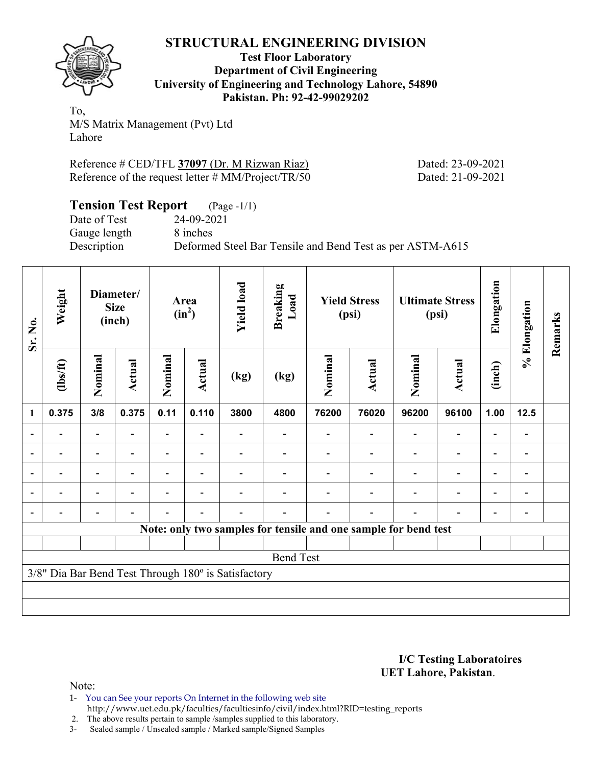

**Test Floor Laboratory Department of Civil Engineering University of Engineering and Technology Lahore, 54890 Pakistan. Ph: 92-42-99029202** 

To, M/S Matrix Management (Pvt) Ltd Lahore

Reference # CED/TFL **37097** (Dr. M Rizwan Riaz) Dated: 23-09-2021 Reference of the request letter # MM/Project/TR/50 Dated: 21-09-2021

| <b>Tension Test Report</b> (Page -1/1) |                                                           |
|----------------------------------------|-----------------------------------------------------------|
| Date of Test                           | 24-09-2021                                                |
| Gauge length                           | 8 inches                                                  |
| Description                            | Deformed Steel Bar Tensile and Bend Test as per ASTM-A615 |

| Sr. No.                  | Weight                   | Diameter/<br><b>Size</b><br>(inch) |                          | Area<br>$(in^2)$         |                | <b>Yield load</b>                                   | <b>Breaking</b><br>Load | <b>Yield Stress</b><br>(psi) |                                                                 |         | <b>Ultimate Stress</b><br>(psi) | Elongation               | % Elongation                 | Remarks |
|--------------------------|--------------------------|------------------------------------|--------------------------|--------------------------|----------------|-----------------------------------------------------|-------------------------|------------------------------|-----------------------------------------------------------------|---------|---------------------------------|--------------------------|------------------------------|---------|
|                          | $\frac{2}{10}$           | Nominal                            | <b>Actual</b>            | Nominal                  | Actual         | (kg)                                                | (kg)                    | Nominal                      | <b>Actual</b>                                                   | Nominal | Actual                          | (inch)                   |                              |         |
| 1                        | 0.375                    | 3/8                                | 0.375                    | 0.11                     | 0.110          | 3800                                                | 4800                    | 76200                        | 76020                                                           | 96200   | 96100                           | 1.00                     | $12.5$                       |         |
|                          |                          | $\overline{\phantom{0}}$           |                          | $\overline{\phantom{0}}$ |                |                                                     |                         |                              |                                                                 |         | $\qquad \qquad \blacksquare$    |                          | $\overline{a}$               |         |
|                          |                          | -                                  |                          |                          |                |                                                     |                         |                              |                                                                 |         |                                 |                          | -                            |         |
| $\overline{\phantom{0}}$ | $\overline{\phantom{0}}$ | $\overline{\phantom{0}}$           | $\overline{\phantom{0}}$ |                          | $\blacksquare$ |                                                     |                         |                              |                                                                 |         | $\overline{\phantom{0}}$        | $\overline{\phantom{0}}$ | $\qquad \qquad \blacksquare$ |         |
| $\blacksquare$           | $\overline{\phantom{a}}$ | $\overline{\phantom{0}}$           | $\overline{\phantom{0}}$ | -                        | ۰              |                                                     |                         |                              |                                                                 |         | $\overline{\phantom{0}}$        | $\overline{\phantom{0}}$ | $\qquad \qquad \blacksquare$ |         |
| $\blacksquare$           | -                        | $\overline{\phantom{0}}$           |                          | -                        | ۰              |                                                     |                         |                              |                                                                 |         | $\overline{\phantom{0}}$        | $\overline{\phantom{0}}$ | $\overline{\phantom{0}}$     |         |
|                          |                          |                                    |                          |                          |                |                                                     |                         |                              | Note: only two samples for tensile and one sample for bend test |         |                                 |                          |                              |         |
|                          |                          |                                    |                          |                          |                |                                                     |                         |                              |                                                                 |         |                                 |                          |                              |         |
|                          |                          |                                    |                          |                          |                |                                                     | <b>Bend Test</b>        |                              |                                                                 |         |                                 |                          |                              |         |
|                          |                          |                                    |                          |                          |                | 3/8" Dia Bar Bend Test Through 180° is Satisfactory |                         |                              |                                                                 |         |                                 |                          |                              |         |
|                          |                          |                                    |                          |                          |                |                                                     |                         |                              |                                                                 |         |                                 |                          |                              |         |
|                          |                          |                                    |                          |                          |                |                                                     |                         |                              |                                                                 |         |                                 |                          |                              |         |

#### **I/C Testing Laboratoires UET Lahore, Pakistan**.

Note:

1- You can See your reports On Internet in the following web site http://www.uet.edu.pk/faculties/facultiesinfo/civil/index.html?RID=testing\_reports

2. The above results pertain to sample /samples supplied to this laboratory.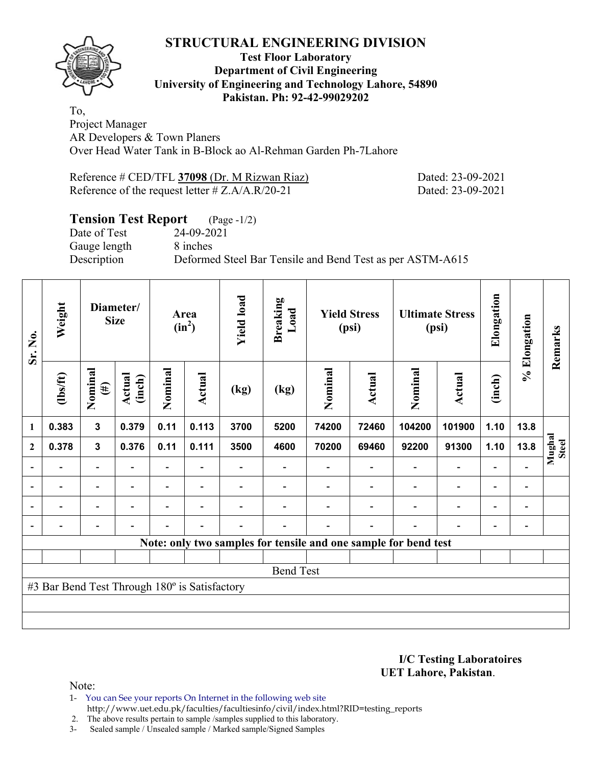

### **Test Floor Laboratory Department of Civil Engineering University of Engineering and Technology Lahore, 54890 Pakistan. Ph: 92-42-99029202**

To, Project Manager AR Developers & Town Planers Over Head Water Tank in B-Block ao Al-Rehman Garden Ph-7Lahore

| Reference # CED/TFL 37098 (Dr. M Rizwan Riaz)      |
|----------------------------------------------------|
| Reference of the request letter $\# Z.A/A.R/20-21$ |

Dated: 23-09-2021 Dated: 23-09-2021

# **Tension Test Report** (Page -1/2)

Date of Test 24-09-2021 Gauge length 8 inches

Description Deformed Steel Bar Tensile and Bend Test as per ASTM-A615

| Sr. No.                  | Weight                                        | Diameter/<br><b>Size</b> |                          | Area<br>$(in^2)$         |                          | <b>Yield load</b> | <b>Breaking</b><br>Load | <b>Yield Stress</b><br>(psi) |                | <b>Ultimate Stress</b><br>(psi)                                 |                          | Elongation               | % Elongation                 | Remarks         |
|--------------------------|-----------------------------------------------|--------------------------|--------------------------|--------------------------|--------------------------|-------------------|-------------------------|------------------------------|----------------|-----------------------------------------------------------------|--------------------------|--------------------------|------------------------------|-----------------|
|                          | $\frac{2}{10}$                                | Nominal<br>$(\#)$        | Actual<br>(inch)         | Nominal                  | Actual                   | (kg)              | (kg)                    | Nominal                      | <b>Actual</b>  | Nominal                                                         | Actual                   | (inch)                   |                              |                 |
| 1                        | 0.383                                         | $\mathbf{3}$             | 0.379                    | 0.11                     | 0.113                    | 3700              | 5200                    | 74200                        | 72460          | 104200                                                          | 101900                   | 1.10                     | 13.8                         |                 |
| $\mathbf{2}$             | 0.378                                         | $\mathbf{3}$             | 0.376                    | 0.11                     | 0.111                    | 3500              | 4600                    | 70200                        | 69460          | 92200                                                           | 91300                    | 1.10                     | 13.8                         | Mughal<br>Steel |
|                          |                                               |                          |                          |                          |                          |                   |                         |                              |                |                                                                 | $\overline{\phantom{0}}$ | $\overline{a}$           |                              |                 |
| $\overline{\phantom{a}}$ | $\overline{\phantom{0}}$                      | $\overline{\phantom{a}}$ | $\overline{\phantom{0}}$ | $\overline{\phantom{0}}$ | $\blacksquare$           |                   |                         |                              | $\blacksquare$ | $\blacksquare$                                                  | $\overline{a}$           | $\overline{\phantom{a}}$ | $\overline{\phantom{a}}$     |                 |
|                          | $\overline{\phantom{0}}$                      | $\overline{\phantom{0}}$ |                          | $\blacksquare$           | $\overline{\phantom{0}}$ |                   |                         |                              |                | $\overline{\phantom{0}}$                                        | $\overline{a}$           | $\overline{\phantom{0}}$ | $\qquad \qquad \blacksquare$ |                 |
|                          | $\overline{\phantom{0}}$                      | $\overline{\phantom{a}}$ |                          | $\blacksquare$           | $\overline{\phantom{0}}$ | $\blacksquare$    |                         |                              | $\blacksquare$ | $\blacksquare$                                                  | $\overline{a}$           | $\overline{\phantom{a}}$ | $\overline{\phantom{0}}$     |                 |
|                          |                                               |                          |                          |                          |                          |                   |                         |                              |                | Note: only two samples for tensile and one sample for bend test |                          |                          |                              |                 |
|                          |                                               |                          |                          |                          |                          |                   |                         |                              |                |                                                                 |                          |                          |                              |                 |
|                          |                                               |                          |                          |                          |                          |                   | <b>Bend Test</b>        |                              |                |                                                                 |                          |                          |                              |                 |
|                          | #3 Bar Bend Test Through 180° is Satisfactory |                          |                          |                          |                          |                   |                         |                              |                |                                                                 |                          |                          |                              |                 |
|                          |                                               |                          |                          |                          |                          |                   |                         |                              |                |                                                                 |                          |                          |                              |                 |
|                          |                                               |                          |                          |                          |                          |                   |                         |                              |                |                                                                 |                          |                          |                              |                 |

**I/C Testing Laboratoires UET Lahore, Pakistan**.

Note:

1- You can See your reports On Internet in the following web site http://www.uet.edu.pk/faculties/facultiesinfo/civil/index.html?RID=testing\_reports

2. The above results pertain to sample /samples supplied to this laboratory.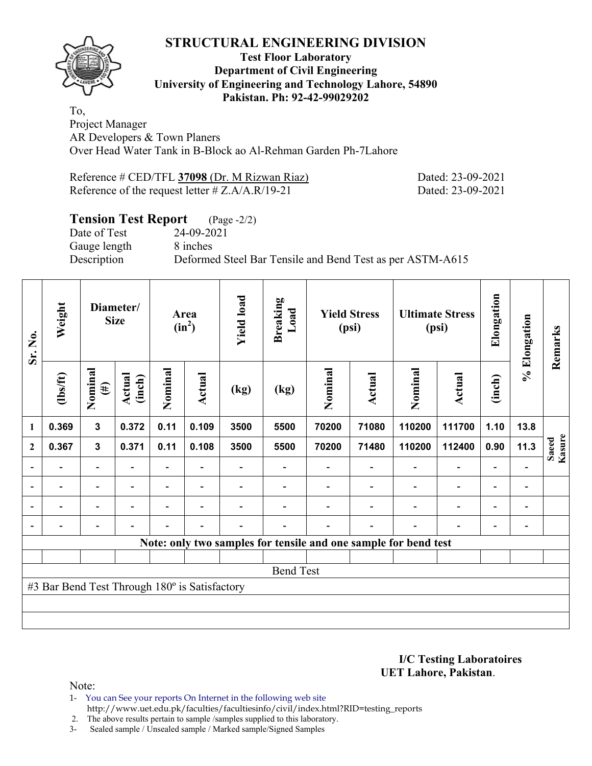

#### **Test Floor Laboratory Department of Civil Engineering University of Engineering and Technology Lahore, 54890 Pakistan. Ph: 92-42-99029202**

To, Project Manager AR Developers & Town Planers Over Head Water Tank in B-Block ao Al-Rehman Garden Ph-7Lahore

| Reference # CED/TFL 37098 (Dr. M Rizwan Riaz)      |
|----------------------------------------------------|
| Reference of the request letter $\# Z.A/A.R/19-21$ |

Dated: 23-09-2021 Dated: 23-09-2021

# **Tension Test Report** (Page -2/2)

Date of Test 24-09-2021 Gauge length 8 inches

Description Deformed Steel Bar Tensile and Bend Test as per ASTM-A615

| Sr. No.                  | Weight                                        | Diameter/<br><b>Size</b> |                  | Area<br>$(in^2)$ |                          | <b>Yield load</b> | <b>Breaking</b><br>Load |         | <b>Yield Stress</b><br>(psi) |                                                                 | <b>Ultimate Stress</b><br>(psi) | Elongation               | % Elongation                 | Remarks         |
|--------------------------|-----------------------------------------------|--------------------------|------------------|------------------|--------------------------|-------------------|-------------------------|---------|------------------------------|-----------------------------------------------------------------|---------------------------------|--------------------------|------------------------------|-----------------|
|                          | (1bs/ft)                                      | Nominal<br>$(\#)$        | Actual<br>(inch) | Nominal          | <b>Actual</b>            | (kg)              | (kg)                    | Nominal | Actual                       | Nominal                                                         | <b>Actual</b>                   | (inch)                   |                              |                 |
| 1                        | 0.369                                         | $\mathbf{3}$             | 0.372            | 0.11             | 0.109                    | 3500              | 5500                    | 70200   | 71080                        | 110200                                                          | 111700                          | 1.10                     | 13.8                         |                 |
| $\mathbf{2}$             | 0.367                                         | $\mathbf{3}$             | 0.371            | 0.11             | 0.108                    | 3500              | 5500                    | 70200   | 71480                        | 110200                                                          | 112400                          | 0.90                     | 11.3                         | Saeed<br>Kasure |
|                          |                                               | $\overline{\phantom{0}}$ |                  |                  |                          |                   |                         |         |                              |                                                                 | $\overline{\phantom{0}}$        | $\overline{a}$           |                              |                 |
| $\overline{\phantom{0}}$ | -                                             | $\blacksquare$           |                  |                  | $\blacksquare$           |                   |                         |         |                              | $\overline{\phantom{0}}$                                        | $\overline{\phantom{0}}$        | $\overline{\phantom{a}}$ | $\qquad \qquad \blacksquare$ |                 |
| $\blacksquare$           | $\blacksquare$                                | $\overline{\phantom{a}}$ | $\blacksquare$   | Ξ.               | $\overline{\phantom{a}}$ |                   |                         |         |                              | $\overline{\phantom{a}}$                                        | $\overline{\phantom{0}}$        | $\overline{\phantom{0}}$ | $\overline{\phantom{0}}$     |                 |
|                          | -                                             | $\overline{a}$           |                  |                  | $\blacksquare$           |                   |                         |         | ۰                            | $\blacksquare$                                                  | $\overline{\phantom{0}}$        | $\overline{\phantom{a}}$ | $\blacksquare$               |                 |
|                          |                                               |                          |                  |                  |                          |                   |                         |         |                              | Note: only two samples for tensile and one sample for bend test |                                 |                          |                              |                 |
|                          |                                               |                          |                  |                  |                          |                   |                         |         |                              |                                                                 |                                 |                          |                              |                 |
|                          |                                               |                          |                  |                  |                          |                   | <b>Bend Test</b>        |         |                              |                                                                 |                                 |                          |                              |                 |
|                          | #3 Bar Bend Test Through 180° is Satisfactory |                          |                  |                  |                          |                   |                         |         |                              |                                                                 |                                 |                          |                              |                 |
|                          |                                               |                          |                  |                  |                          |                   |                         |         |                              |                                                                 |                                 |                          |                              |                 |
|                          |                                               |                          |                  |                  |                          |                   |                         |         |                              |                                                                 |                                 |                          |                              |                 |

**I/C Testing Laboratoires UET Lahore, Pakistan**.

Note:

1- You can See your reports On Internet in the following web site http://www.uet.edu.pk/faculties/facultiesinfo/civil/index.html?RID=testing\_reports

2. The above results pertain to sample /samples supplied to this laboratory.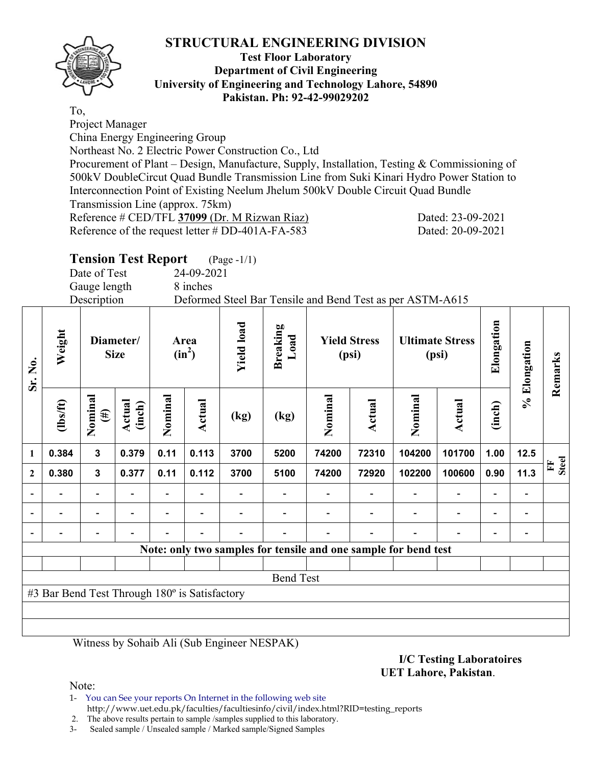

#### **Test Floor Laboratory Department of Civil Engineering University of Engineering and Technology Lahore, 54890 Pakistan. Ph: 92-42-99029202**

To,

Project Manager

China Energy Engineering Group

Northeast No. 2 Electric Power Construction Co., Ltd

Procurement of Plant – Design, Manufacture, Supply, Installation, Testing & Commissioning of 500kV DoubleCircut Quad Bundle Transmission Line from Suki Kinari Hydro Power Station to Interconnection Point of Existing Neelum Jhelum 500kV Double Circuit Quad Bundle

Transmission Line (approx. 75km)

Reference # CED/TFL **37099** (Dr. M Rizwan Riaz) Dated: 23-09-2021

Reference of the request letter # DD-401A-FA-583 Dated: 20-09-2021

# **Tension Test Report** (Page -1/1)

Date of Test 24-09-2021

Gauge length 8 inches

Description Deformed Steel Bar Tensile and Bend Test as per ASTM-A615

| Sr. No.      | Weight                                        | Diameter/<br><b>Size</b> |                  | Area<br>$(in^2)$ |                          | <b>Yield load</b> | <b>Breaking</b><br>Load | <b>Yield Stress</b><br>(psi) |        | <b>Ultimate Stress</b><br>(psi)                                 |                          | Elongation               | % Elongation   | Remarks           |
|--------------|-----------------------------------------------|--------------------------|------------------|------------------|--------------------------|-------------------|-------------------------|------------------------------|--------|-----------------------------------------------------------------|--------------------------|--------------------------|----------------|-------------------|
|              | $_{\rm (hsff)}$                               | Nominal<br>$(\#)$        | Actual<br>(inch) | Nominal          | Actual                   | (kg)              | (kg)                    | Nominal                      | Actual | Nominal                                                         | Actual                   | (inch)                   |                |                   |
| 1            | 0.384                                         | $\mathbf{3}$             | 0.379            | 0.11             | 0.113                    | 3700              | 5200                    | 74200                        | 72310  | 104200                                                          | 101700                   | 1.00                     | 12.5           |                   |
| $\mathbf{2}$ | 0.380                                         | $\mathbf{3}$             | 0.377            | 0.11             | 0.112                    | 3700              | 5100                    | 74200                        | 72920  | 102200                                                          | 100600                   | 0.90                     | 11.3           | <b>Steel</b><br>Ě |
|              |                                               | $\overline{\phantom{0}}$ |                  |                  |                          |                   |                         |                              |        |                                                                 | $\overline{\phantom{a}}$ | $\overline{\phantom{0}}$ | $\overline{a}$ |                   |
|              | -                                             | $\overline{\phantom{0}}$ |                  |                  | $\overline{\phantom{0}}$ |                   |                         |                              |        |                                                                 | $\overline{\phantom{a}}$ | -                        | $\overline{a}$ |                   |
|              |                                               | $\overline{\phantom{0}}$ |                  |                  |                          |                   |                         |                              |        |                                                                 | $\overline{\phantom{0}}$ | $\overline{\phantom{0}}$ |                |                   |
|              |                                               |                          |                  |                  |                          |                   |                         |                              |        | Note: only two samples for tensile and one sample for bend test |                          |                          |                |                   |
|              |                                               |                          |                  |                  |                          |                   |                         |                              |        |                                                                 |                          |                          |                |                   |
|              |                                               |                          |                  |                  |                          |                   | <b>Bend Test</b>        |                              |        |                                                                 |                          |                          |                |                   |
|              | #3 Bar Bend Test Through 180° is Satisfactory |                          |                  |                  |                          |                   |                         |                              |        |                                                                 |                          |                          |                |                   |
|              |                                               |                          |                  |                  |                          |                   |                         |                              |        |                                                                 |                          |                          |                |                   |
|              |                                               |                          |                  |                  |                          |                   |                         |                              |        |                                                                 |                          |                          |                |                   |

Witness by Sohaib Ali (Sub Engineer NESPAK)

**I/C Testing Laboratoires UET Lahore, Pakistan**.

Note:

1- You can See your reports On Internet in the following web site http://www.uet.edu.pk/faculties/facultiesinfo/civil/index.html?RID=testing\_reports

2. The above results pertain to sample /samples supplied to this laboratory.